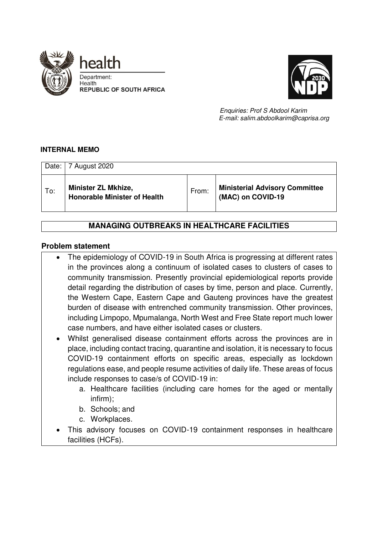



 *Enquiries: Prof S Abdool Karim E-mail: salim.abdoolkarim@caprisa.org* 

#### **INTERNAL MEMO**

| Date: | 7 August 2020                                                     |       |                                                            |
|-------|-------------------------------------------------------------------|-------|------------------------------------------------------------|
| To:   | <b>Minister ZL Mkhize,</b><br><b>Honorable Minister of Health</b> | From: | <b>Ministerial Advisory Committee</b><br>(MAC) on COVID-19 |

# **MANAGING OUTBREAKS IN HEALTHCARE FACILITIES**

#### **Problem statement**

- The epidemiology of COVID-19 in South Africa is progressing at different rates in the provinces along a continuum of isolated cases to clusters of cases to community transmission. Presently provincial epidemiological reports provide detail regarding the distribution of cases by time, person and place. Currently, the Western Cape, Eastern Cape and Gauteng provinces have the greatest burden of disease with entrenched community transmission. Other provinces, including Limpopo, Mpumalanga, North West and Free State report much lower case numbers, and have either isolated cases or clusters.
- Whilst generalised disease containment efforts across the provinces are in place, including contact tracing, quarantine and isolation, it is necessary to focus COVID-19 containment efforts on specific areas, especially as lockdown regulations ease, and people resume activities of daily life. These areas of focus include responses to case/s of COVID-19 in:
	- a. Healthcare facilities (including care homes for the aged or mentally infirm);
	- b. Schools; and
	- c. Workplaces.
- This advisory focuses on COVID-19 containment responses in healthcare facilities (HCFs).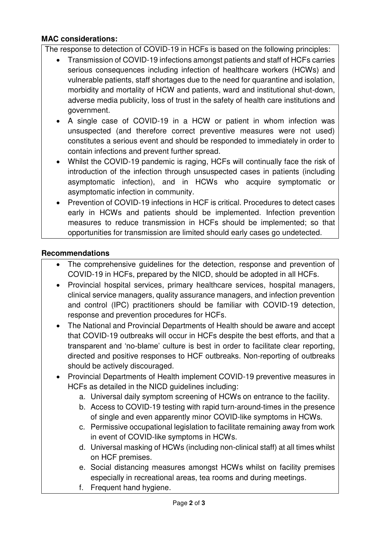# **MAC considerations:**

The response to detection of COVID-19 in HCFs is based on the following principles:

- Transmission of COVID-19 infections amongst patients and staff of HCFs carries serious consequences including infection of healthcare workers (HCWs) and vulnerable patients, staff shortages due to the need for quarantine and isolation, morbidity and mortality of HCW and patients, ward and institutional shut-down, adverse media publicity, loss of trust in the safety of health care institutions and government.
- A single case of COVID-19 in a HCW or patient in whom infection was unsuspected (and therefore correct preventive measures were not used) constitutes a serious event and should be responded to immediately in order to contain infections and prevent further spread.
- Whilst the COVID-19 pandemic is raging, HCFs will continually face the risk of introduction of the infection through unsuspected cases in patients (including asymptomatic infection), and in HCWs who acquire symptomatic or asymptomatic infection in community.
- Prevention of COVID-19 infections in HCF is critical. Procedures to detect cases early in HCWs and patients should be implemented. Infection prevention measures to reduce transmission in HCFs should be implemented; so that opportunities for transmission are limited should early cases go undetected.

### **Recommendations**

- The comprehensive guidelines for the detection, response and prevention of COVID-19 in HCFs, prepared by the NICD, should be adopted in all HCFs.
- Provincial hospital services, primary healthcare services, hospital managers, clinical service managers, quality assurance managers, and infection prevention and control (IPC) practitioners should be familiar with COVID-19 detection, response and prevention procedures for HCFs.
- The National and Provincial Departments of Health should be aware and accept that COVID-19 outbreaks will occur in HCFs despite the best efforts, and that a transparent and 'no-blame' culture is best in order to facilitate clear reporting, directed and positive responses to HCF outbreaks. Non-reporting of outbreaks should be actively discouraged.
- Provincial Departments of Health implement COVID-19 preventive measures in HCFs as detailed in the NICD guidelines including:
	- a. Universal daily symptom screening of HCWs on entrance to the facility.
	- b. Access to COVID-19 testing with rapid turn-around-times in the presence of single and even apparently minor COVID-like symptoms in HCWs.
	- c. Permissive occupational legislation to facilitate remaining away from work in event of COVID-like symptoms in HCWs.
	- d. Universal masking of HCWs (including non-clinical staff) at all times whilst on HCF premises.
	- e. Social distancing measures amongst HCWs whilst on facility premises especially in recreational areas, tea rooms and during meetings.
	- f. Frequent hand hygiene.